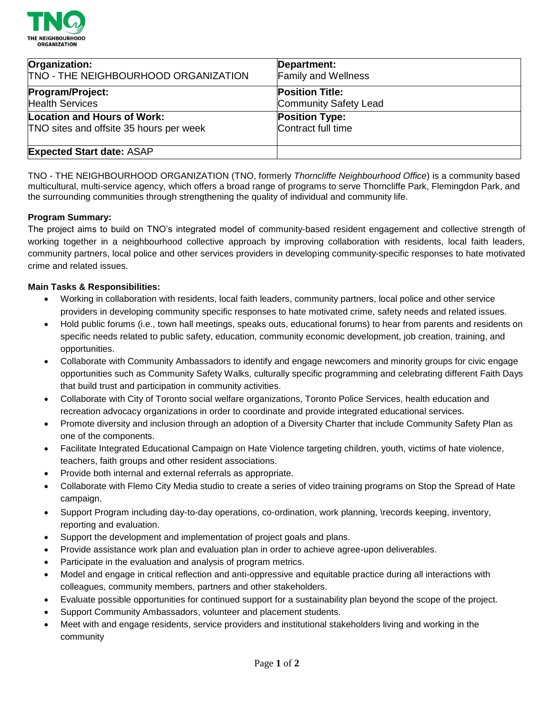

| Organization:                           | Department:                |
|-----------------------------------------|----------------------------|
| TNO - THE NEIGHBOURHOOD ORGANIZATION    | <b>Family and Wellness</b> |
| Program/Project:                        | <b>Position Title:</b>     |
| <b>Health Services</b>                  | Community Safety Lead      |
| Location and Hours of Work:             | <b>Position Type:</b>      |
| TNO sites and offsite 35 hours per week | Contract full time         |
| <b>Expected Start date: ASAP</b>        |                            |

TNO - THE NEIGHBOURHOOD ORGANIZATION (TNO, formerly *Thorncliffe Neighbourhood Office*) is a community based multicultural, multi-service agency, which offers a broad range of programs to serve Thorncliffe Park, Flemingdon Park, and the surrounding communities through strengthening the quality of individual and community life.

#### **Program Summary:**

The project aims to build on TNO's integrated model of community-based resident engagement and collective strength of working together in a neighbourhood collective approach by improving collaboration with residents, local faith leaders, community partners, local police and other services providers in developing community-specific responses to hate motivated crime and related issues.

#### **Main Tasks & Responsibilities:**

- Working in collaboration with residents, local faith leaders, community partners, local police and other service providers in developing community specific responses to hate motivated crime, safety needs and related issues.
- Hold public forums (i.e., town hall meetings, speaks outs, educational forums) to hear from parents and residents on specific needs related to public safety, education, community economic development, job creation, training, and opportunities.
- Collaborate with Community Ambassadors to identify and engage newcomers and minority groups for civic engage opportunities such as Community Safety Walks, culturally specific programming and celebrating different Faith Days that build trust and participation in community activities.
- Collaborate with City of Toronto social welfare organizations, Toronto Police Services, health education and recreation advocacy organizations in order to coordinate and provide integrated educational services.
- Promote diversity and inclusion through an adoption of a Diversity Charter that include Community Safety Plan as one of the components.
- Facilitate Integrated Educational Campaign on Hate Violence targeting children, youth, victims of hate violence, teachers, faith groups and other resident associations.
- Provide both internal and external referrals as appropriate.
- Collaborate with Flemo City Media studio to create a series of video training programs on Stop the Spread of Hate campaign.
- Support Program including day-to-day operations, co-ordination, work planning, \records keeping, inventory, reporting and evaluation.
- Support the development and implementation of project goals and plans.
- Provide assistance work plan and evaluation plan in order to achieve agree-upon deliverables.
- Participate in the evaluation and analysis of program metrics.
- Model and engage in critical reflection and anti-oppressive and equitable practice during all interactions with colleagues, community members, partners and other stakeholders.
- Evaluate possible opportunities for continued support for a sustainability plan beyond the scope of the project.
- Support Community Ambassadors, volunteer and placement students.
- Meet with and engage residents, service providers and institutional stakeholders living and working in the community